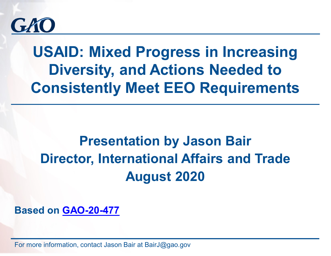

# **USAID: Mixed Progress in Increasing Diversity, and Actions Needed to Consistently Meet EEO Requirements**

## **Presentation by Jason Bair Director, International Affairs and Trade August 2020**

**Based on [GAO-20-477](https://www.gao.gov/products/GAO-20-477)**

For more information, contact Jason Bair at BairJ@gao.gov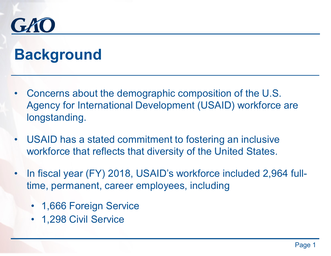

# **Background**

- Concerns about the demographic composition of the U.S. Agency for International Development (USAID) workforce are longstanding.
- USAID has a stated commitment to fostering an inclusive workforce that reflects that diversity of the United States.
- In fiscal year (FY) 2018, USAID's workforce included 2,964 fulltime, permanent, career employees, including
	- 1,666 Foreign Service
	- 1,298 Civil Service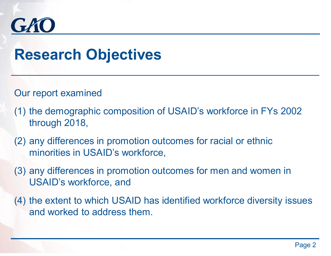

## **Research Objectives**

Our report examined

- (1) the demographic composition of USAID's workforce in FYs 2002 through 2018,
- (2) any differences in promotion outcomes for racial or ethnic minorities in USAID's workforce,
- (3) any differences in promotion outcomes for men and women in USAID's workforce, and
- (4) the extent to which USAID has identified workforce diversity issues and worked to address them.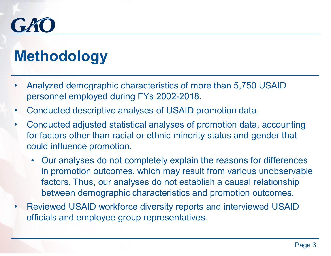

# **Methodology**

- Analyzed demographic characteristics of more than 5,750 USAID personnel employed during FYs 2002-2018.
- Conducted descriptive analyses of USAID promotion data.
- Conducted adjusted statistical analyses of promotion data, accounting for factors other than racial or ethnic minority status and gender that could influence promotion.
	- Our analyses do not completely explain the reasons for differences in promotion outcomes, which may result from various unobservable factors. Thus, our analyses do not establish a causal relationship between demographic characteristics and promotion outcomes.
- Reviewed USAID workforce diversity reports and interviewed USAID officials and employee group representatives.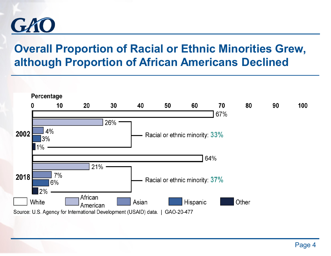

## **Overall Proportion of Racial or Ethnic Minorities Grew, although Proportion of African Americans Declined**

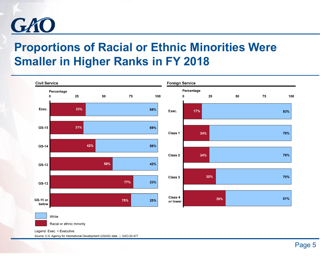

## **Proportions of Racial or Ethnic Minorities Were Smaller in Higher Ranks in FY 2018**



Source: U.S. Agency for International Development (USAID) data. | GAO-20-477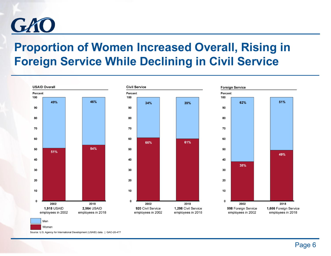

## **Proportion of Women Increased Overall, Rising in Foreign Service While Declining in Civil Service**







Source: U.S. Agency for International Development (USAID) data. | GAO-20-477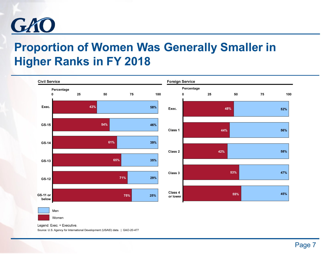

## **Proportion of Women Was Generally Smaller in Higher Ranks in FY 2018**



Legend: Exec. = Executive. Source: U.S. Agency for International Development (USAID) data. | GAO-20-477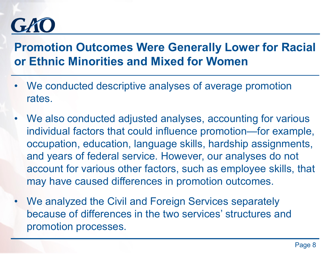# GRI

## **Promotion Outcomes Were Generally Lower for Racial or Ethnic Minorities and Mixed for Women**

- We conducted descriptive analyses of average promotion rates.
- We also conducted adjusted analyses, accounting for various individual factors that could influence promotion—for example, occupation, education, language skills, hardship assignments, and years of federal service. However, our analyses do not account for various other factors, such as employee skills, that may have caused differences in promotion outcomes.
- We analyzed the Civil and Foreign Services separately because of differences in the two services' structures and promotion processes.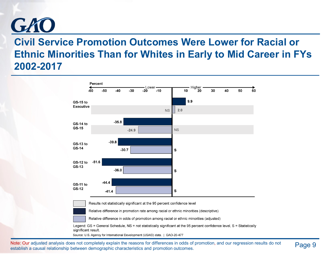

#### **Civil Service Promotion Outcomes Were Lower for Racial or Ethnic Minorities Than for Whites in Early to Mid Career in FYs 2002-2017**



Note: Our adjusted analysis does not completely explain the reasons for differences in odds of promotion, and our regression results do not Page 9 establish a causal relationship between demographic characteristics and promotion outcomes.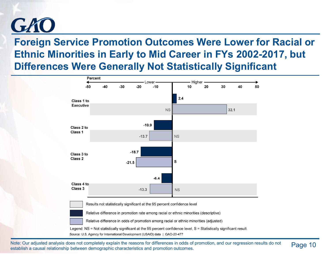

#### **Foreign Service Promotion Outcomes Were Lower for Racial or Ethnic Minorities in Early to Mid Career in FYs 2002-2017, but Differences Were Generally Not Statistically Significant**



Note: Our adjusted analysis does not completely explain the reasons for differences in odds of promotion, and our regression results do not Page 10 establish a causal relationship between demographic characteristics and promotion outcomes.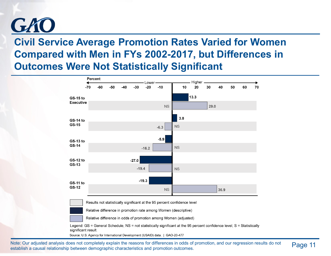

#### **Civil Service Average Promotion Rates Varied for Women Compared with Men in FYs 2002-2017, but Differences in Outcomes Were Not Statistically Significant**



Note: Our adjusted analysis does not completely explain the reasons for differences in odds of promotion, and our regression results do not Page 11 establish a causal relationship between demographic characteristics and promotion outcomes.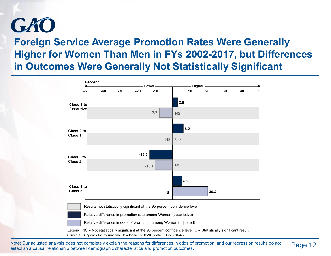

#### **Foreign Service Average Promotion Rates Were Generally Higher for Women Than Men in FYs 2002-2017, but Differences in Outcomes Were Generally Not Statistically Significant**



Source: U.S. Agency for International Development (USAID) data. | GAO-20-477

Note: Our adjusted analysis does not completely explain the reasons for differences in odds of promotion, and our regression results do not Page 12 establish a causal relationship between demographic characteristics and promotion outcomes.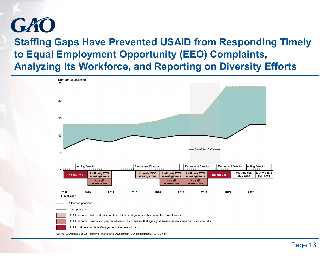

#### **Staffing Gaps Have Prevented USAID from Responding Timely to Equal Employment Opportunity (EEO) Complaints, Analyzing Its Workforce, and Reporting on Diversity Efforts**

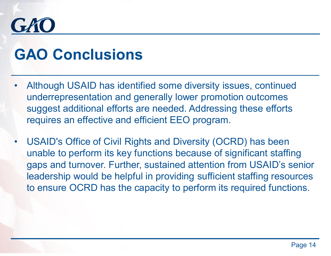# GRI

# **GAO Conclusions**

- Although USAID has identified some diversity issues, continued underrepresentation and generally lower promotion outcomes suggest additional efforts are needed. Addressing these efforts requires an effective and efficient EEO program.
- USAID's Office of Civil Rights and Diversity (OCRD) has been unable to perform its key functions because of significant staffing gaps and turnover. Further, sustained attention from USAID's senior leadership would be helpful in providing sufficient staffing resources to ensure OCRD has the capacity to perform its required functions.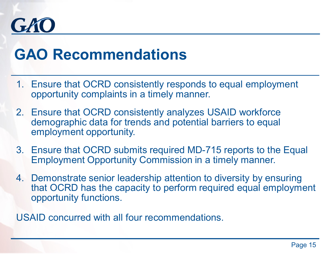

## **GAO Recommendations**

- 1. Ensure that OCRD consistently responds to equal employment opportunity complaints in a timely manner.
- 2. Ensure that OCRD consistently analyzes USAID workforce demographic data for trends and potential barriers to equal employment opportunity.
- 3. Ensure that OCRD submits required MD-715 reports to the Equal Employment Opportunity Commission in a timely manner.
- 4. Demonstrate senior leadership attention to diversity by ensuring that OCRD has the capacity to perform required equal employment opportunity functions.

USAID concurred with all four recommendations.